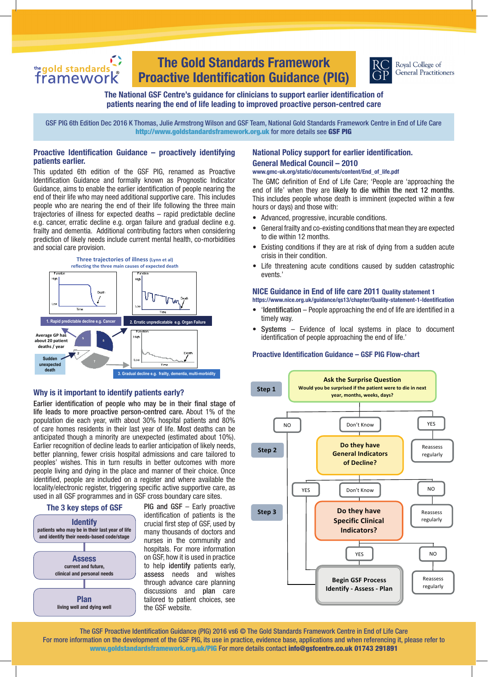# the gold standards

# **The Gold Standards Framework Proactive Identification Guidance (PIG)**



Royal College of **General Practitioners** 

# **The National GSF Centre's guidance for clinicians to support earlier identification of patients nearing the end of life leading to improved proactive person-centred care**

GSF PIG 6th Edition Dec 2016 K Thomas, Julie Armstrong Wilson and GSF Team, National Gold Standards Framework Centre in End of Life Care http://www.goldstandardsframework.org.uk for more details see GSF PIG

# **Proactive Identification Guidance – proactively identifying patients earlier.**

This updated 6th edition of the GSF PIG, renamed as Proactive Identification Guidance and formally known as Prognostic Indicator Guidance, aims to enable the earlier identification of people nearing the end of their life who may need additional supportive care. This includes people who are nearing the end of their life following the three main trajectories of illness for expected deaths – rapid predictable decline e.g. cancer, erratic decline e.g. organ failure and gradual decline e.g. frailty and dementia. Additional contributing factors when considering prediction of likely needs include current mental health, co-morbidities and social care provision.



# **Why is it important to identify patients early?**

Earlier identification of people who may be in their final stage of life leads to more proactive person-centred care. About 1% of the population die each year, with about 30% hospital patients and 80% of care homes residents in their last year of life. Most deaths can be anticipated though a minority are unexpected (estimated about 10%). Earlier recognition of decline leads to earlier anticipation of likely needs, better planning, fewer crisis hospital admissions and care tailored to peoples' wishes. This in turn results in better outcomes with more people living and dying in the place and manner of their choice. Once identified, people are included on a register and where available the locality/electronic register, triggering specific active supportive care, as used in all GSF programmes and in GSF cross boundary care sites.



PIG and GSF - Early proactive identification of patients is the crucial first step of GSF, used by many thousands of doctors and nurses in the community and hospitals. For more information on GSF, how it is used in practice to help identify patients early, assess needs and wishes through advance care planning discussions and plan care tailored to patient choices, see the GSF website.

# **National Policy support for earlier identification. General Medical Council – 2010**

**www.gmc-uk.org/static/documents/content/End\_of\_life.pdf**

The GMC definition of End of Life Care; 'People are 'approaching the end of life' when they are likely to die within the next 12 months. This includes people whose death is imminent (expected within a few hours or days) and those with:

- • Advanced, progressive, incurable conditions.
- General frailty and co-existing conditions that mean they are expected to die within 12 months.
- Existing conditions if they are at risk of dying from a sudden acute crisis in their condition.
- Life threatening acute conditions caused by sudden catastrophic events.'

# **NICE Guidance in End of life care 2011 Quality statement 1**

**https://www.nice.org.uk/guidance/qs13/chapter/Quality-statement-1-Identification**

- 'Identification People approaching the end of life are identified in a timely way.
- $Systems Evidence of local systems in place to document$ identification of people approaching the end of life.'

## **Proactive Identification Guidance – GSF PIG Flow-chart**



The GSF Proactive Identification Guidance (PIG) 2016 vs6 © The Gold Standards Framework Centre in End of Life Care For more information on the development of the GSF PIG, its use in practice, evidence base, applications and when referencing it, please refer to www.goldstandardsframework.org.uk/PIG For more details contact info@gsfcentre.co.uk 01743 291891